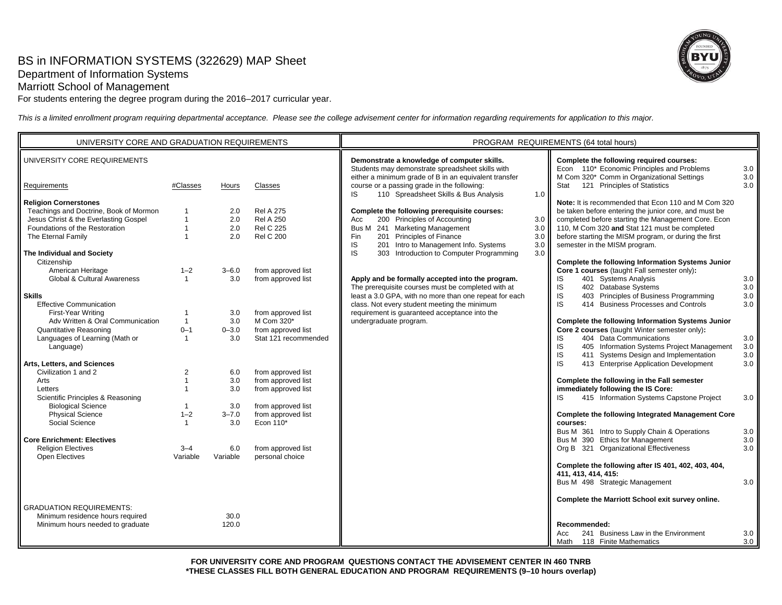# BS in INFORMATION SYSTEMS (322629) MAP Sheet Department of Information Systems

Marriott School of Management

For students entering the degree program during the 2016–2017 curricular year.

*This is a limited enrollment program requiring departmental acceptance. Please see the college advisement center for information regarding requirements for application to this major.*

| UNIVERSITY CORE AND GRADUATION REQUIREMENTS |                |           |                      | PROGRAM REQUIREMENTS (64 total hours)                                                                                                               |            |                                                                                        |                       |
|---------------------------------------------|----------------|-----------|----------------------|-----------------------------------------------------------------------------------------------------------------------------------------------------|------------|----------------------------------------------------------------------------------------|-----------------------|
| UNIVERSITY CORE REQUIREMENTS                |                |           |                      | Demonstrate a knowledge of computer skills.<br>Students may demonstrate spreadsheet skills with                                                     |            | Complete the following required courses:<br>Econ 110* Economic Principles and Problems | 3.0                   |
| Requirements                                | #Classes       | Hours     | Classes              | either a minimum grade of B in an equivalent transfer<br>course or a passing grade in the following:<br>110 Spreadsheet Skills & Bus Analysis<br>IS | $1.0$ I    | M Com 320* Comm in Organizational Settings<br>Stat 121 Principles of Statistics        | 3.0<br>$3.0\text{ I}$ |
| <b>Religion Cornerstones</b>                |                |           |                      |                                                                                                                                                     |            | Note: It is recommended that Econ 110 and M Com 320                                    |                       |
| Teachings and Doctrine, Book of Mormon      | 1              | 2.0       | <b>Rel A 275</b>     | Complete the following prerequisite courses:                                                                                                        |            | be taken before entering the junior core, and must be                                  |                       |
| Jesus Christ & the Everlasting Gospel       | $\mathbf{1}$   | 2.0       | <b>Rel A 250</b>     | 200 Principles of Accounting<br>Acc                                                                                                                 | 3.0        | completed before starting the Management Core. Econ                                    |                       |
| Foundations of the Restoration              | $\mathbf{1}$   | 2.0       | <b>Rel C 225</b>     | Bus M 241 Marketing Management                                                                                                                      | 3.0        | 110, M Com 320 and Stat 121 must be completed                                          |                       |
| The Eternal Family                          | $\mathbf{1}$   | 2.0       | <b>Rel C 200</b>     | 201 Principles of Finance<br>Fin<br>IS<br>201 Intro to Management Info. Systems                                                                     | 3.0<br>3.0 | before starting the MISM program, or during the first<br>semester in the MISM program. |                       |
| The Individual and Society                  |                |           |                      | IS<br>303 Introduction to Computer Programming                                                                                                      | 3.0        |                                                                                        |                       |
| Citizenship                                 |                |           |                      |                                                                                                                                                     |            | Complete the following Information Systems Junior                                      |                       |
| American Heritage                           | $1 - 2$        | $3 - 6.0$ | from approved list   |                                                                                                                                                     |            | Core 1 courses (taught Fall semester only):                                            |                       |
| Global & Cultural Awareness                 | $\mathbf{1}$   | 3.0       | from approved list   | Apply and be formally accepted into the program.                                                                                                    |            | 401 Systems Analysis<br>IS                                                             | 3.0                   |
|                                             |                |           |                      | The prerequisite courses must be completed with at                                                                                                  |            | IS<br>402 Database Systems                                                             | 3.0                   |
| <b>Skills</b>                               |                |           |                      | least a 3.0 GPA, with no more than one repeat for each                                                                                              |            | 403 Principles of Business Programming<br>IS                                           | 3.0                   |
| <b>Effective Communication</b>              |                |           |                      | class. Not every student meeting the minimum                                                                                                        |            | IS<br>414 Business Processes and Controls                                              | 3.0                   |
| First-Year Writing                          | 1              | 3.0       | from approved list   | requirement is quaranteed acceptance into the                                                                                                       |            |                                                                                        |                       |
| Adv Written & Oral Communication            | $\mathbf{1}$   | 3.0       | M Com 320*           | undergraduate program.                                                                                                                              |            | Complete the following Information Systems Junior                                      |                       |
| <b>Quantitative Reasoning</b>               | $0 - 1$        | $0 - 3.0$ | from approved list   |                                                                                                                                                     |            | Core 2 courses (taught Winter semester only):                                          |                       |
| Languages of Learning (Math or              | $\mathbf{1}$   | 3.0       | Stat 121 recommended |                                                                                                                                                     |            | 404 Data Communications<br>IS                                                          | 3.0                   |
| Language)                                   |                |           |                      |                                                                                                                                                     |            | IS<br>405 Information Systems Project Management                                       | 3.0                   |
|                                             |                |           |                      |                                                                                                                                                     |            | IS<br>411 Systems Design and Implementation                                            | 3.0                   |
| Arts, Letters, and Sciences                 |                |           |                      |                                                                                                                                                     |            | IS<br>413 Enterprise Application Development                                           | 3.0                   |
| Civilization 1 and 2                        | $\overline{2}$ | 6.0       | from approved list   |                                                                                                                                                     |            |                                                                                        |                       |
| Arts                                        | $\mathbf{1}$   | 3.0       | from approved list   |                                                                                                                                                     |            | Complete the following in the Fall semester                                            |                       |
| Letters                                     |                | 3.0       | from approved list   |                                                                                                                                                     |            | immediately following the IS Core:                                                     |                       |
| Scientific Principles & Reasoning           |                |           |                      |                                                                                                                                                     |            | 415 Information Systems Capstone Project<br>IS                                         | 3.0                   |
| <b>Biological Science</b>                   | $\mathbf{1}$   | 3.0       | from approved list   |                                                                                                                                                     |            |                                                                                        |                       |
| <b>Physical Science</b>                     | $1 - 2$        | $3 - 7.0$ | from approved list   |                                                                                                                                                     |            | Complete the following Integrated Management Core                                      |                       |
| Social Science                              |                | 3.0       | Econ 110*            |                                                                                                                                                     |            | courses:<br>Bus M 361 Intro to Supply Chain & Operations                               | 3.0                   |
| <b>Core Enrichment: Electives</b>           |                |           |                      |                                                                                                                                                     |            | Bus M 390 Ethics for Management                                                        | 3.0 <sub>1</sub>      |
| <b>Religion Electives</b>                   | $3 - 4$        | 6.0       | from approved list   |                                                                                                                                                     |            | Org B 321 Organizational Effectiveness                                                 | 3.0                   |
| Open Electives                              | Variable       | Variable  | personal choice      |                                                                                                                                                     |            |                                                                                        |                       |
|                                             |                |           |                      |                                                                                                                                                     |            | Complete the following after IS 401, 402, 403, 404,                                    |                       |
|                                             |                |           |                      |                                                                                                                                                     |            | 411, 413, 414, 415:                                                                    |                       |
|                                             |                |           |                      |                                                                                                                                                     |            | Bus M 498 Strategic Management                                                         | 3.0                   |
|                                             |                |           |                      |                                                                                                                                                     |            |                                                                                        |                       |
| <b>GRADUATION REQUIREMENTS:</b>             |                |           |                      |                                                                                                                                                     |            | Complete the Marriott School exit survey online.                                       |                       |
| Minimum residence hours required            |                | 30.0      |                      |                                                                                                                                                     |            |                                                                                        |                       |
| Minimum hours needed to graduate            |                | 120.0     |                      |                                                                                                                                                     |            | Recommended:                                                                           |                       |
|                                             |                |           |                      |                                                                                                                                                     |            | 241 Business Law in the Environment<br>Acc                                             | 3.0                   |
|                                             |                |           |                      |                                                                                                                                                     |            | Math<br>118 Finite Mathematics                                                         | 3.0                   |